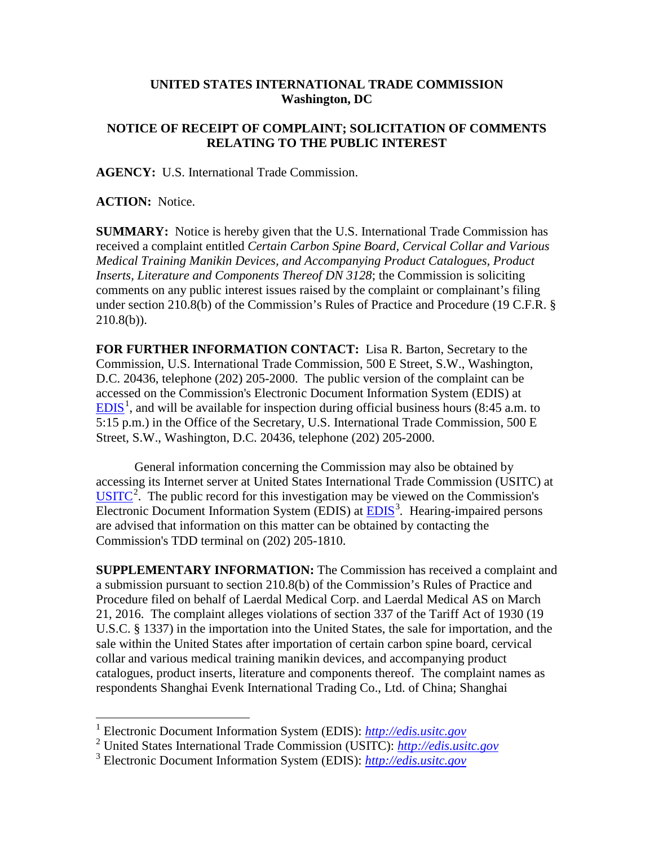## **UNITED STATES INTERNATIONAL TRADE COMMISSION Washington, DC**

## **NOTICE OF RECEIPT OF COMPLAINT; SOLICITATION OF COMMENTS RELATING TO THE PUBLIC INTEREST**

**AGENCY:** U.S. International Trade Commission.

**ACTION:** Notice.

**SUMMARY:** Notice is hereby given that the U.S. International Trade Commission has received a complaint entitled *Certain Carbon Spine Board, Cervical Collar and Various Medical Training Manikin Devices, and Accompanying Product Catalogues, Product Inserts, Literature and Components Thereof DN 3128*; the Commission is soliciting comments on any public interest issues raised by the complaint or complainant's filing under section 210.8(b) of the Commission's Rules of Practice and Procedure (19 C.F.R. §  $210.8(b)$ ).

**FOR FURTHER INFORMATION CONTACT:** Lisa R. Barton, Secretary to the Commission, U.S. International Trade Commission, 500 E Street, S.W., Washington, D.C. 20436, telephone (202) 205-2000. The public version of the complaint can be accessed on the Commission's Electronic Document Information System (EDIS) at  $EDIS<sup>1</sup>$  $EDIS<sup>1</sup>$  $EDIS<sup>1</sup>$  $EDIS<sup>1</sup>$ , and will be available for inspection during official business hours (8:45 a.m. to 5:15 p.m.) in the Office of the Secretary, U.S. International Trade Commission, 500 E Street, S.W., Washington, D.C. 20436, telephone (202) 205-2000.

General information concerning the Commission may also be obtained by accessing its Internet server at United States International Trade Commission (USITC) at  $\overline{USTTC}^2$  $\overline{USTTC}^2$ . The public record for this investigation may be viewed on the Commission's Electronic Document Information System (EDIS) at **EDIS**<sup>[3](#page-0-2)</sup>. Hearing-impaired persons are advised that information on this matter can be obtained by contacting the Commission's TDD terminal on (202) 205-1810.

**SUPPLEMENTARY INFORMATION:** The Commission has received a complaint and a submission pursuant to section 210.8(b) of the Commission's Rules of Practice and Procedure filed on behalf of Laerdal Medical Corp. and Laerdal Medical AS on March 21, 2016. The complaint alleges violations of section 337 of the Tariff Act of 1930 (19 U.S.C. § 1337) in the importation into the United States, the sale for importation, and the sale within the United States after importation of certain carbon spine board, cervical collar and various medical training manikin devices, and accompanying product catalogues, product inserts, literature and components thereof. The complaint names as respondents Shanghai Evenk International Trading Co., Ltd. of China; Shanghai

 <sup>1</sup> Electronic Document Information System (EDIS): *[http://edis.usitc.gov](http://edis.usitc.gov/)*

<span id="page-0-1"></span><span id="page-0-0"></span><sup>2</sup> United States International Trade Commission (USITC): *[http://edis.usitc.gov](http://edis.usitc.gov/)*

<span id="page-0-2"></span><sup>3</sup> Electronic Document Information System (EDIS): *[http://edis.usitc.gov](http://edis.usitc.gov/)*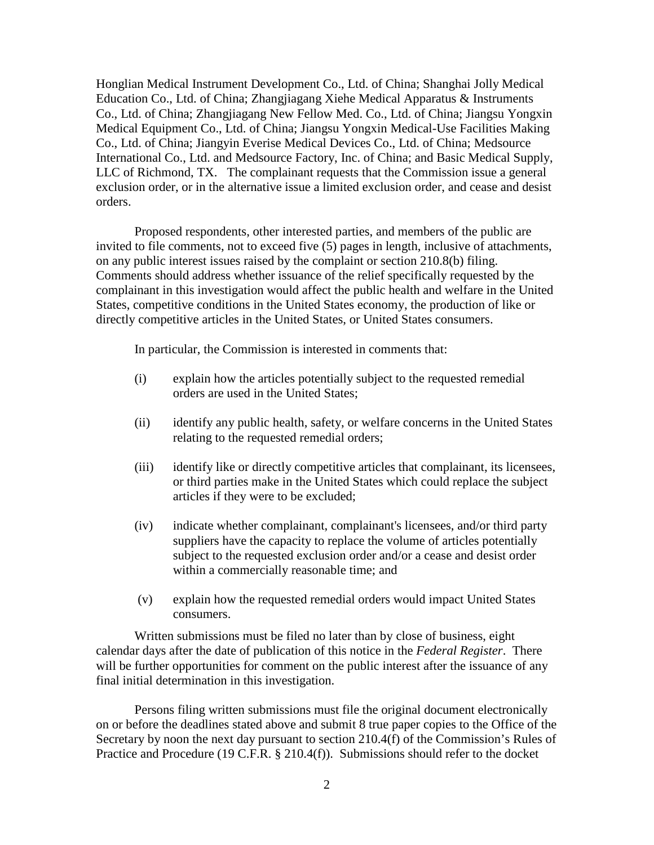Honglian Medical Instrument Development Co., Ltd. of China; Shanghai Jolly Medical Education Co., Ltd. of China; Zhangjiagang Xiehe Medical Apparatus & Instruments Co., Ltd. of China; Zhangjiagang New Fellow Med. Co., Ltd. of China; Jiangsu Yongxin Medical Equipment Co., Ltd. of China; Jiangsu Yongxin Medical-Use Facilities Making Co., Ltd. of China; Jiangyin Everise Medical Devices Co., Ltd. of China; Medsource International Co., Ltd. and Medsource Factory, Inc. of China; and Basic Medical Supply, LLC of Richmond, TX. The complainant requests that the Commission issue a general exclusion order, or in the alternative issue a limited exclusion order, and cease and desist orders.

Proposed respondents, other interested parties, and members of the public are invited to file comments, not to exceed five (5) pages in length, inclusive of attachments, on any public interest issues raised by the complaint or section 210.8(b) filing. Comments should address whether issuance of the relief specifically requested by the complainant in this investigation would affect the public health and welfare in the United States, competitive conditions in the United States economy, the production of like or directly competitive articles in the United States, or United States consumers.

In particular, the Commission is interested in comments that:

- (i) explain how the articles potentially subject to the requested remedial orders are used in the United States;
- (ii) identify any public health, safety, or welfare concerns in the United States relating to the requested remedial orders;
- (iii) identify like or directly competitive articles that complainant, its licensees, or third parties make in the United States which could replace the subject articles if they were to be excluded;
- (iv) indicate whether complainant, complainant's licensees, and/or third party suppliers have the capacity to replace the volume of articles potentially subject to the requested exclusion order and/or a cease and desist order within a commercially reasonable time; and
- (v) explain how the requested remedial orders would impact United States consumers.

Written submissions must be filed no later than by close of business, eight calendar days after the date of publication of this notice in the *Federal Register*. There will be further opportunities for comment on the public interest after the issuance of any final initial determination in this investigation.

Persons filing written submissions must file the original document electronically on or before the deadlines stated above and submit 8 true paper copies to the Office of the Secretary by noon the next day pursuant to section 210.4(f) of the Commission's Rules of Practice and Procedure (19 C.F.R. § 210.4(f)). Submissions should refer to the docket